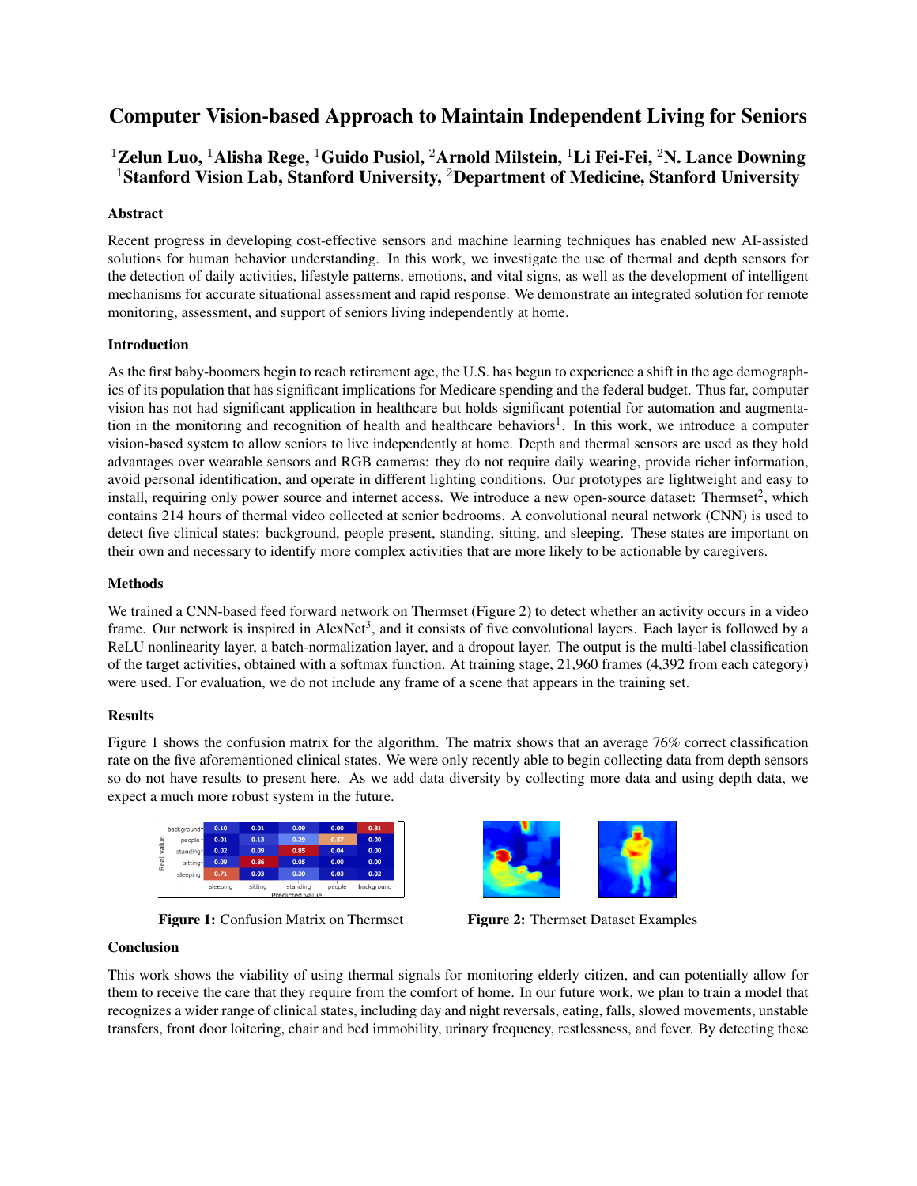# Computer Vision-based Approach to Maintain Independent Living for Seniors

## <sup>1</sup>Zelun Luo, <sup>1</sup>Alisha Rege, <sup>1</sup>Guido Pusiol, <sup>2</sup>Arnold Milstein, <sup>1</sup>Li Fei-Fei, <sup>2</sup>N. Lance Downing <sup>1</sup>Stanford Vision Lab, Stanford University, <sup>2</sup>Department of Medicine, Stanford University

#### Abstract

Recent progress in developing cost-effective sensors and machine learning techniques has enabled new AI-assisted solutions for human behavior understanding. In this work, we investigate the use of thermal and depth sensors for the detection of daily activities, lifestyle patterns, emotions, and vital signs, as well as the development of intelligent mechanisms for accurate situational assessment and rapid response. We demonstrate an integrated solution for remote monitoring, assessment, and support of seniors living independently at home.

#### Introduction

As the first baby-boomers begin to reach retirement age, the U.S. has begun to experience a shift in the age demographics of its population that has significant implications for Medicare spending and the federal budget. Thus far, computer vision has not had significant application in healthcare but holds significant potential for automation and augmentation in the monitoring and recognition of health and healthcare behaviors<sup>1</sup>. In this work, we introduce a computer vision-based system to allow seniors to live independently at home. Depth and thermal sensors are used as they hold advantages over wearable sensors and RGB cameras: they do not require daily wearing, provide richer information, avoid personal identification, and operate in different lighting conditions. Our prototypes are lightweight and easy to install, requiring only power source and internet access. We introduce a new open-source dataset: Thermset<sup>2</sup>, which contains 214 hours of thermal video collected at senior bedrooms. A convolutional neural network (CNN) is used to detect five clinical states: background, people present, standing, sitting, and sleeping. These states are important on their own and necessary to identify more complex activities that are more likely to be actionable by caregivers.

#### Methods

We trained a CNN-based feed forward network on Thermset (Figure 2) to detect whether an activity occurs in a video frame. Our network is inspired in AlexNet<sup>3</sup>, and it consists of five convolutional layers. Each layer is followed by a ReLU nonlinearity layer, a batch-normalization layer, and a dropout layer. The output is the multi-label classification of the target activities, obtained with a softmax function. At training stage, 21,960 frames (4,392 from each category) were used. For evaluation, we do not include any frame of a scene that appears in the training set.

### **Results**

Figure 1 shows the confusion matrix for the algorithm. The matrix shows that an average 76% correct classification rate on the five aforementioned clinical states. We were only recently able to begin collecting data from depth sensors so do not have results to present here. As we add data diversity by collecting more data and using depth data, we expect a much more robust system in the future.



Figure 1: Confusion Matrix on Thermset Figure 2: Thermset Dataset Examples



### **Conclusion**

This work shows the viability of using thermal signals for monitoring elderly citizen, and can potentially allow for them to receive the care that they require from the comfort of home. In our future work, we plan to train a model that recognizes a wider range of clinical states, including day and night reversals, eating, falls, slowed movements, unstable transfers, front door loitering, chair and bed immobility, urinary frequency, restlessness, and fever. By detecting these